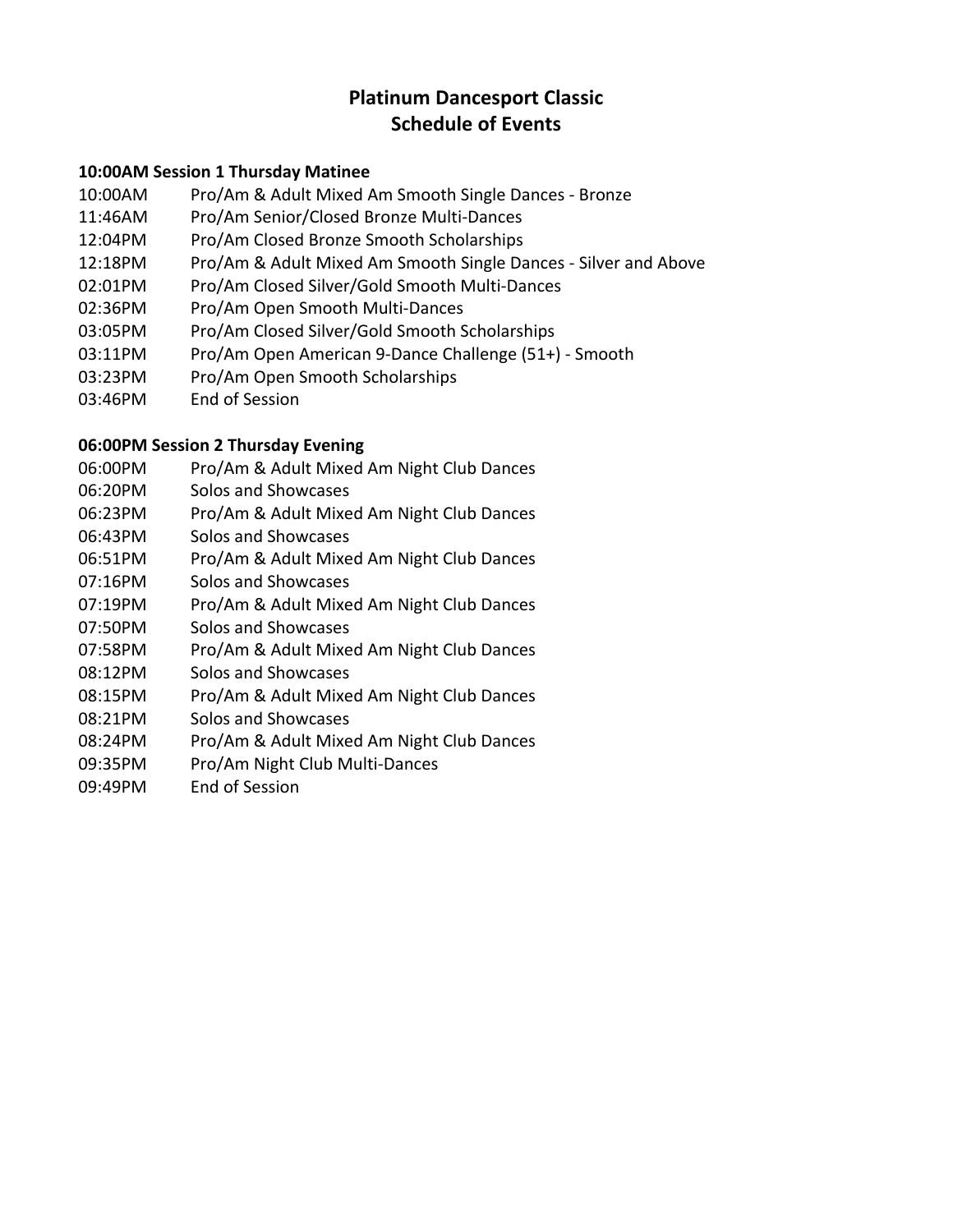# **Platinum Dancesport Classic Schedule of Events**

### **10:00AM Session 1 Thursday Matinee**

- 10:00AM Pro/Am & Adult Mixed Am Smooth Single Dances ‐ Bronze
- 11:46AM Pro/Am Senior/Closed Bronze Multi‐Dances
- 12:04PM Pro/Am Closed Bronze Smooth Scholarships
- 12:18PM Pro/Am & Adult Mixed Am Smooth Single Dances ‐ Silver and Above
- 02:01PM Pro/Am Closed Silver/Gold Smooth Multi‐Dances
- 02:36PM Pro/Am Open Smooth Multi‐Dances
- 03:05PM Pro/Am Closed Silver/Gold Smooth Scholarships
- 03:11PM Pro/Am Open American 9‐Dance Challenge (51+) ‐ Smooth
- 03:23PM Pro/Am Open Smooth Scholarships
- 03:46PM End of Session

## **06:00PM Session 2 Thursday Evening**

- 06:00PM Pro/Am & Adult Mixed Am Night Club Dances
- 06:20PM Solos and Showcases
- 06:23PM Pro/Am & Adult Mixed Am Night Club Dances
- 06:43PM Solos and Showcases
- 06:51PM Pro/Am & Adult Mixed Am Night Club Dances
- 07:16PM Solos and Showcases
- 07:19PM Pro/Am & Adult Mixed Am Night Club Dances
- 07:50PM Solos and Showcases
- 07:58PM Pro/Am & Adult Mixed Am Night Club Dances
- 08:12PM Solos and Showcases
- 08:15PM Pro/Am & Adult Mixed Am Night Club Dances
- 08:21PM Solos and Showcases
- 08:24PM Pro/Am & Adult Mixed Am Night Club Dances
- 09:35PM Pro/Am Night Club Multi‐Dances
- 09:49PM End of Session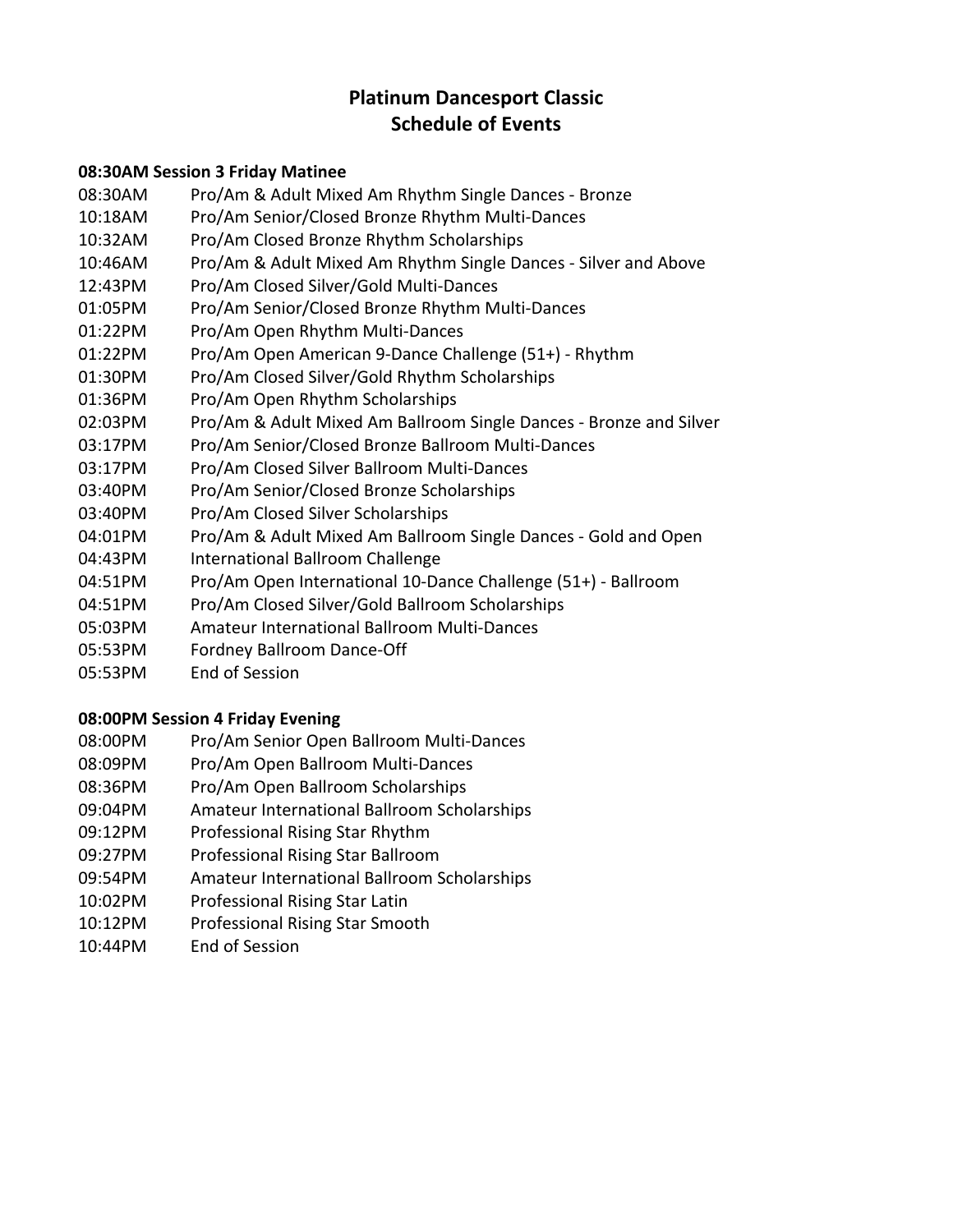# **Platinum Dancesport Classic Schedule of Events**

### **08:30AM Session 3 Friday Matinee**

- 08:30AM Pro/Am & Adult Mixed Am Rhythm Single Dances ‐ Bronze
- 10:18AM Pro/Am Senior/Closed Bronze Rhythm Multi‐Dances
- 10:32AM Pro/Am Closed Bronze Rhythm Scholarships
- 10:46AM Pro/Am & Adult Mixed Am Rhythm Single Dances ‐ Silver and Above
- 12:43PM Pro/Am Closed Silver/Gold Multi‐Dances
- 01:05PM Pro/Am Senior/Closed Bronze Rhythm Multi‐Dances
- 01:22PM Pro/Am Open Rhythm Multi‐Dances
- 01:22PM Pro/Am Open American 9‐Dance Challenge (51+) ‐ Rhythm
- 01:30PM Pro/Am Closed Silver/Gold Rhythm Scholarships
- 01:36PM Pro/Am Open Rhythm Scholarships
- 02:03PM Pro/Am & Adult Mixed Am Ballroom Single Dances ‐ Bronze and Silver
- 03:17PM Pro/Am Senior/Closed Bronze Ballroom Multi‐Dances
- 03:17PM Pro/Am Closed Silver Ballroom Multi‐Dances
- 03:40PM Pro/Am Senior/Closed Bronze Scholarships
- 03:40PM Pro/Am Closed Silver Scholarships
- 04:01PM Pro/Am & Adult Mixed Am Ballroom Single Dances ‐ Gold and Open
- 04:43PM International Ballroom Challenge
- 04:51PM Pro/Am Open International 10‐Dance Challenge (51+) ‐ Ballroom
- 04:51PM Pro/Am Closed Silver/Gold Ballroom Scholarships
- 05:03PM Amateur International Ballroom Multi‐Dances
- 05:53PM Fordney Ballroom Dance‐Off
- 05:53PM End of Session

#### **08:00PM Session 4 Friday Evening**

- 08:00PM Pro/Am Senior Open Ballroom Multi‐Dances
- 08:09PM Pro/Am Open Ballroom Multi‐Dances
- 08:36PM Pro/Am Open Ballroom Scholarships
- 09:04PM Amateur International Ballroom Scholarships
- 09:12PM Professional Rising Star Rhythm
- 09:27PM Professional Rising Star Ballroom
- 09:54PM Amateur International Ballroom Scholarships
- 10:02PM Professional Rising Star Latin
- 10:12PM Professional Rising Star Smooth
- 10:44PM End of Session